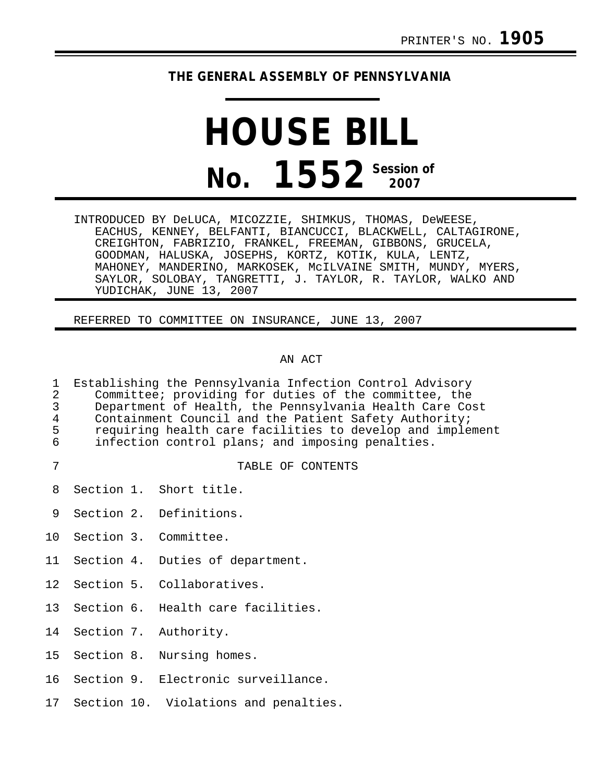## **THE GENERAL ASSEMBLY OF PENNSYLVANIA**

## **HOUSE BILL No. 1552** Session of

INTRODUCED BY DeLUCA, MICOZZIE, SHIMKUS, THOMAS, DeWEESE, EACHUS, KENNEY, BELFANTI, BIANCUCCI, BLACKWELL, CALTAGIRONE, CREIGHTON, FABRIZIO, FRANKEL, FREEMAN, GIBBONS, GRUCELA, GOODMAN, HALUSKA, JOSEPHS, KORTZ, KOTIK, KULA, LENTZ, MAHONEY, MANDERINO, MARKOSEK, McILVAINE SMITH, MUNDY, MYERS, SAYLOR, SOLOBAY, TANGRETTI, J. TAYLOR, R. TAYLOR, WALKO AND YUDICHAK, JUNE 13, 2007

REFERRED TO COMMITTEE ON INSURANCE, JUNE 13, 2007

## AN ACT

| 1<br>$\mathbf{2}$<br>$\overline{3}$<br>$\overline{4}$<br>5<br>6 | Establishing the Pennsylvania Infection Control Advisory<br>Committee; providing for duties of the committee, the<br>Department of Health, the Pennsylvania Health Care Cost<br>Containment Council and the Patient Safety Authority;<br>requiring health care facilities to develop and implement<br>infection control plans; and imposing penalties. |  |                                       |
|-----------------------------------------------------------------|--------------------------------------------------------------------------------------------------------------------------------------------------------------------------------------------------------------------------------------------------------------------------------------------------------------------------------------------------------|--|---------------------------------------|
| 7                                                               |                                                                                                                                                                                                                                                                                                                                                        |  | TABLE OF CONTENTS                     |
| 8                                                               |                                                                                                                                                                                                                                                                                                                                                        |  | Section 1. Short title.               |
| 9                                                               |                                                                                                                                                                                                                                                                                                                                                        |  | Section 2. Definitions.               |
| 10                                                              |                                                                                                                                                                                                                                                                                                                                                        |  | Section 3. Committee.                 |
| 11                                                              |                                                                                                                                                                                                                                                                                                                                                        |  | Section 4. Duties of department.      |
| 12 <sub>1</sub>                                                 |                                                                                                                                                                                                                                                                                                                                                        |  | Section 5. Collaboratives.            |
| 13                                                              |                                                                                                                                                                                                                                                                                                                                                        |  | Section 6. Health care facilities.    |
| 14                                                              |                                                                                                                                                                                                                                                                                                                                                        |  | Section 7. Authority.                 |
| 15                                                              |                                                                                                                                                                                                                                                                                                                                                        |  | Section 8. Nursing homes.             |
| 16                                                              |                                                                                                                                                                                                                                                                                                                                                        |  | Section 9. Electronic surveillance.   |
| 17                                                              |                                                                                                                                                                                                                                                                                                                                                        |  | Section 10. Violations and penalties. |
|                                                                 |                                                                                                                                                                                                                                                                                                                                                        |  |                                       |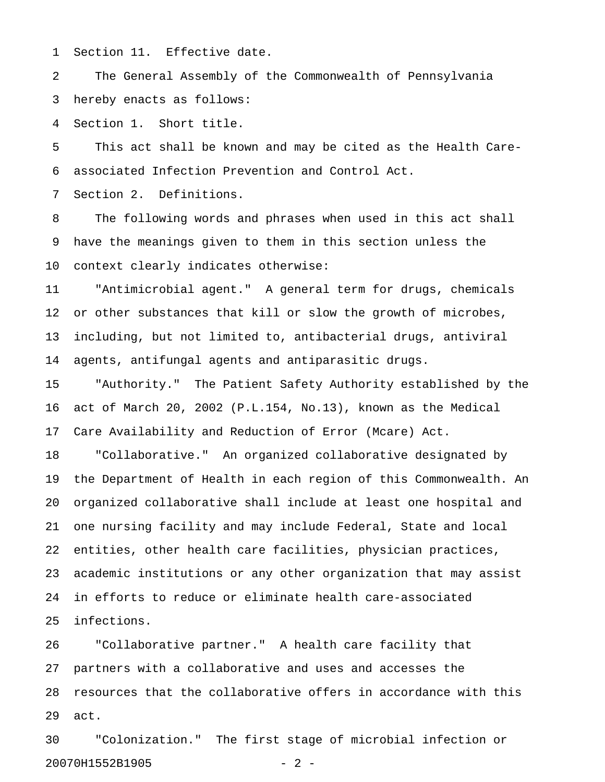1 Section 11. Effective date.

2 The General Assembly of the Commonwealth of Pennsylvania 3 hereby enacts as follows:

4 Section 1. Short title.

5 This act shall be known and may be cited as the Health Care-6 associated Infection Prevention and Control Act.

7 Section 2. Definitions.

8 The following words and phrases when used in this act shall 9 have the meanings given to them in this section unless the 10 context clearly indicates otherwise:

11 "Antimicrobial agent." A general term for drugs, chemicals 12 or other substances that kill or slow the growth of microbes, 13 including, but not limited to, antibacterial drugs, antiviral 14 agents, antifungal agents and antiparasitic drugs.

15 "Authority." The Patient Safety Authority established by the 16 act of March 20, 2002 (P.L.154, No.13), known as the Medical 17 Care Availability and Reduction of Error (Mcare) Act.

18 "Collaborative." An organized collaborative designated by 19 the Department of Health in each region of this Commonwealth. An 20 organized collaborative shall include at least one hospital and 21 one nursing facility and may include Federal, State and local 22 entities, other health care facilities, physician practices, 23 academic institutions or any other organization that may assist 24 in efforts to reduce or eliminate health care-associated 25 infections.

26 "Collaborative partner." A health care facility that 27 partners with a collaborative and uses and accesses the 28 resources that the collaborative offers in accordance with this 29 act.

30 "Colonization." The first stage of microbial infection or 20070H1552B1905 - 2 -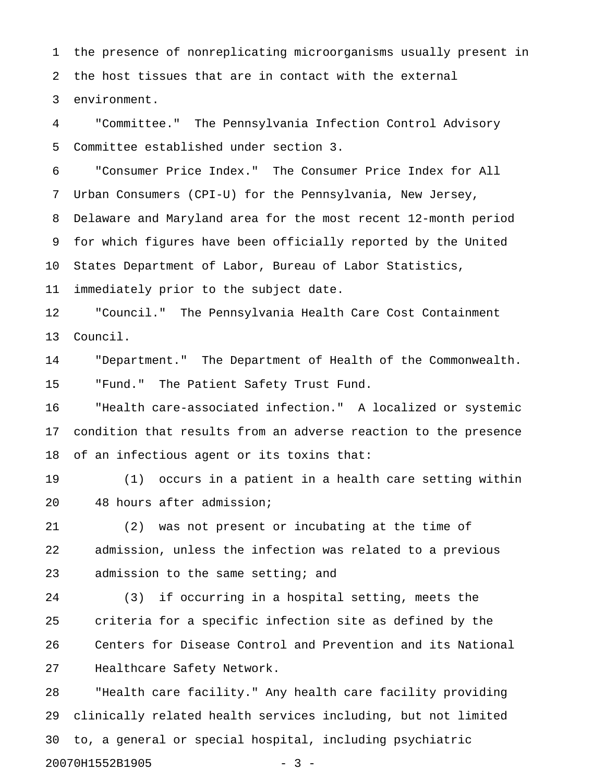1 the presence of nonreplicating microorganisms usually present in 2 the host tissues that are in contact with the external 3 environment.

4 "Committee." The Pennsylvania Infection Control Advisory 5 Committee established under section 3.

6 "Consumer Price Index." The Consumer Price Index for All 7 Urban Consumers (CPI-U) for the Pennsylvania, New Jersey, 8 Delaware and Maryland area for the most recent 12-month period 9 for which figures have been officially reported by the United 10 States Department of Labor, Bureau of Labor Statistics, 11 immediately prior to the subject date.

12 "Council." The Pennsylvania Health Care Cost Containment 13 Council.

14 "Department." The Department of Health of the Commonwealth. 15 "Fund." The Patient Safety Trust Fund.

16 "Health care-associated infection." A localized or systemic 17 condition that results from an adverse reaction to the presence 18 of an infectious agent or its toxins that:

19 (1) occurs in a patient in a health care setting within 20 48 hours after admission;

21 (2) was not present or incubating at the time of 22 admission, unless the infection was related to a previous 23 admission to the same setting; and

24 (3) if occurring in a hospital setting, meets the 25 criteria for a specific infection site as defined by the 26 Centers for Disease Control and Prevention and its National 27 Healthcare Safety Network.

28 "Health care facility." Any health care facility providing 29 clinically related health services including, but not limited 30 to, a general or special hospital, including psychiatric 20070H1552B1905 - 3 -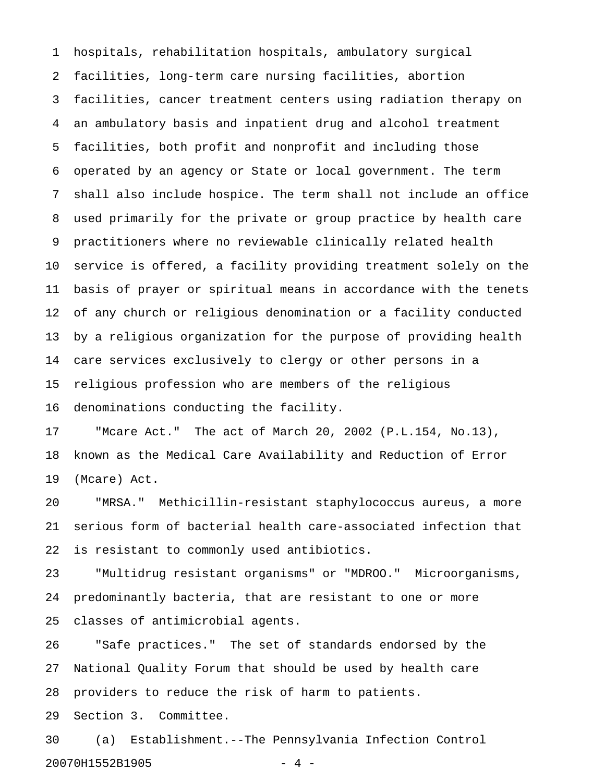1 hospitals, rehabilitation hospitals, ambulatory surgical 2 facilities, long-term care nursing facilities, abortion 3 facilities, cancer treatment centers using radiation therapy on 4 an ambulatory basis and inpatient drug and alcohol treatment 5 facilities, both profit and nonprofit and including those 6 operated by an agency or State or local government. The term 7 shall also include hospice. The term shall not include an office 8 used primarily for the private or group practice by health care 9 practitioners where no reviewable clinically related health 10 service is offered, a facility providing treatment solely on the 11 basis of prayer or spiritual means in accordance with the tenets 12 of any church or religious denomination or a facility conducted 13 by a religious organization for the purpose of providing health 14 care services exclusively to clergy or other persons in a 15 religious profession who are members of the religious 16 denominations conducting the facility.

17 "Mcare Act." The act of March 20, 2002 (P.L.154, No.13), 18 known as the Medical Care Availability and Reduction of Error 19 (Mcare) Act.

20 "MRSA." Methicillin-resistant staphylococcus aureus, a more 21 serious form of bacterial health care-associated infection that 22 is resistant to commonly used antibiotics.

23 "Multidrug resistant organisms" or "MDROO." Microorganisms, 24 predominantly bacteria, that are resistant to one or more 25 classes of antimicrobial agents.

26 "Safe practices." The set of standards endorsed by the 27 National Quality Forum that should be used by health care 28 providers to reduce the risk of harm to patients.

29 Section 3. Committee.

30 (a) Establishment.--The Pennsylvania Infection Control 20070H1552B1905 - 4 -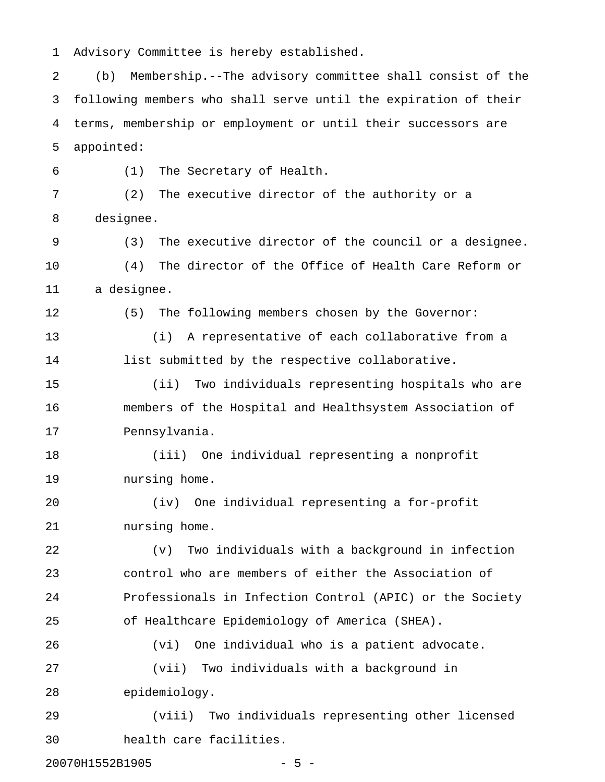1 Advisory Committee is hereby established.

2 (b) Membership.--The advisory committee shall consist of the 3 following members who shall serve until the expiration of their 4 terms, membership or employment or until their successors are 5 appointed:

6 (1) The Secretary of Health. 7 (2) The executive director of the authority or a 8 designee. 9 (3) The executive director of the council or a designee. 10 (4) The director of the Office of Health Care Reform or 11 a designee. 12 (5) The following members chosen by the Governor: 13 (i) A representative of each collaborative from a 14 list submitted by the respective collaborative. 15 (ii) Two individuals representing hospitals who are 16 members of the Hospital and Healthsystem Association of 17 Pennsylvania.

18 (iii) One individual representing a nonprofit 19 nursing home.

20 (iv) One individual representing a for-profit 21 nursing home.

22 (v) Two individuals with a background in infection 23 control who are members of either the Association of 24 Professionals in Infection Control (APIC) or the Society 25 of Healthcare Epidemiology of America (SHEA).

26 (vi) One individual who is a patient advocate. 27 (vii) Two individuals with a background in 28 epidemiology.

29 (viii) Two individuals representing other licensed 30 health care facilities.

20070H1552B1905 - 5 -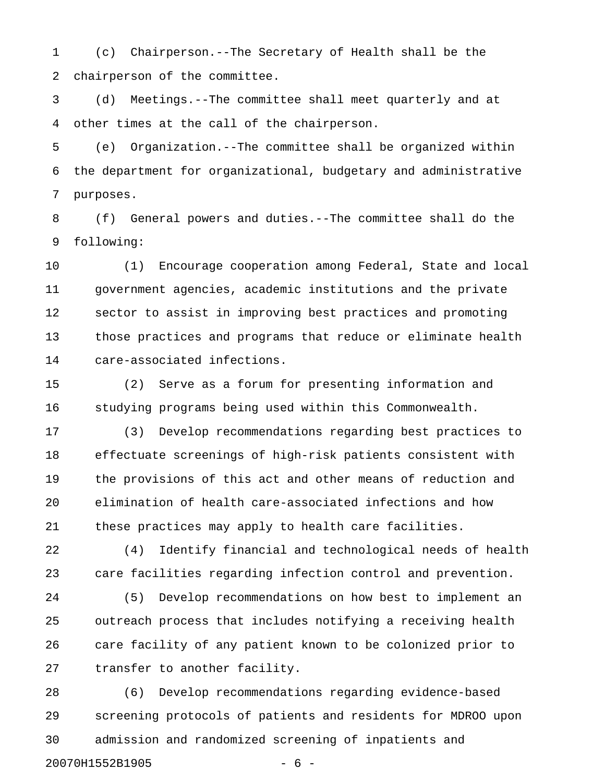1 (c) Chairperson.--The Secretary of Health shall be the 2 chairperson of the committee.

3 (d) Meetings.--The committee shall meet quarterly and at 4 other times at the call of the chairperson.

5 (e) Organization.--The committee shall be organized within 6 the department for organizational, budgetary and administrative 7 purposes.

8 (f) General powers and duties.--The committee shall do the 9 following:

10 (1) Encourage cooperation among Federal, State and local 11 government agencies, academic institutions and the private 12 sector to assist in improving best practices and promoting 13 those practices and programs that reduce or eliminate health 14 care-associated infections.

15 (2) Serve as a forum for presenting information and 16 studying programs being used within this Commonwealth.

17 (3) Develop recommendations regarding best practices to 18 effectuate screenings of high-risk patients consistent with 19 the provisions of this act and other means of reduction and 20 elimination of health care-associated infections and how 21 these practices may apply to health care facilities.

22 (4) Identify financial and technological needs of health 23 care facilities regarding infection control and prevention.

24 (5) Develop recommendations on how best to implement an 25 outreach process that includes notifying a receiving health 26 care facility of any patient known to be colonized prior to 27 transfer to another facility.

28 (6) Develop recommendations regarding evidence-based 29 screening protocols of patients and residents for MDROO upon 30 admission and randomized screening of inpatients and 20070H1552B1905 - 6 -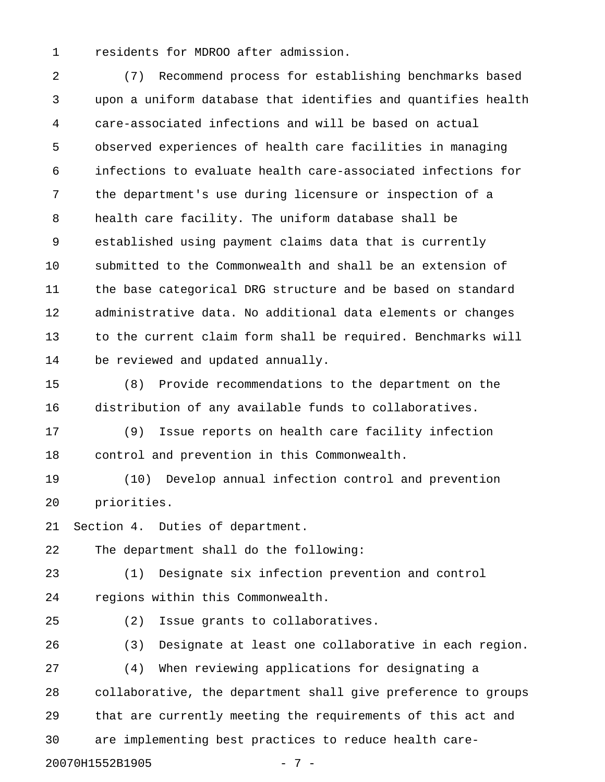1 residents for MDROO after admission.

2 (7) Recommend process for establishing benchmarks based 3 upon a uniform database that identifies and quantifies health 4 care-associated infections and will be based on actual 5 observed experiences of health care facilities in managing 6 infections to evaluate health care-associated infections for 7 the department's use during licensure or inspection of a 8 health care facility. The uniform database shall be 9 established using payment claims data that is currently 10 submitted to the Commonwealth and shall be an extension of 11 the base categorical DRG structure and be based on standard 12 administrative data. No additional data elements or changes 13 to the current claim form shall be required. Benchmarks will 14 be reviewed and updated annually.

15 (8) Provide recommendations to the department on the 16 distribution of any available funds to collaboratives.

17 (9) Issue reports on health care facility infection 18 control and prevention in this Commonwealth.

19 (10) Develop annual infection control and prevention 20 priorities.

21 Section 4. Duties of department.

22 The department shall do the following:

23 (1) Designate six infection prevention and control 24 regions within this Commonwealth.

25 (2) Issue grants to collaboratives.

26 (3) Designate at least one collaborative in each region. 27 (4) When reviewing applications for designating a 28 collaborative, the department shall give preference to groups 29 that are currently meeting the requirements of this act and 30 are implementing best practices to reduce health care-20070H1552B1905 - 7 -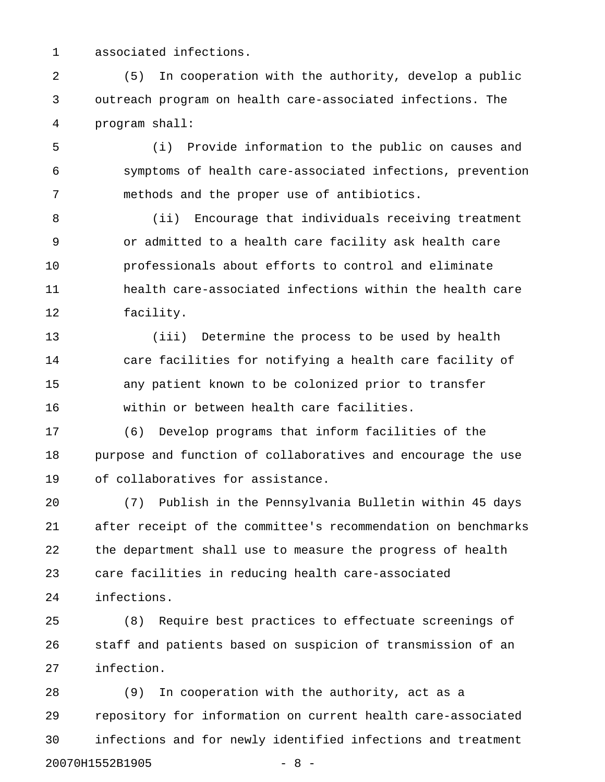1 associated infections.

2 (5) In cooperation with the authority, develop a public 3 outreach program on health care-associated infections. The 4 program shall:

5 (i) Provide information to the public on causes and 6 symptoms of health care-associated infections, prevention 7 methods and the proper use of antibiotics.

8 (ii) Encourage that individuals receiving treatment 9 or admitted to a health care facility ask health care 10 professionals about efforts to control and eliminate 11 health care-associated infections within the health care 12 facility.

13 (iii) Determine the process to be used by health 14 care facilities for notifying a health care facility of 15 any patient known to be colonized prior to transfer 16 within or between health care facilities.

17 (6) Develop programs that inform facilities of the 18 purpose and function of collaboratives and encourage the use 19 of collaboratives for assistance.

20 (7) Publish in the Pennsylvania Bulletin within 45 days 21 after receipt of the committee's recommendation on benchmarks 22 the department shall use to measure the progress of health 23 care facilities in reducing health care-associated 24 infections.

25 (8) Require best practices to effectuate screenings of 26 staff and patients based on suspicion of transmission of an 27 infection.

28 (9) In cooperation with the authority, act as a 29 repository for information on current health care-associated 30 infections and for newly identified infections and treatment 20070H1552B1905 - 8 -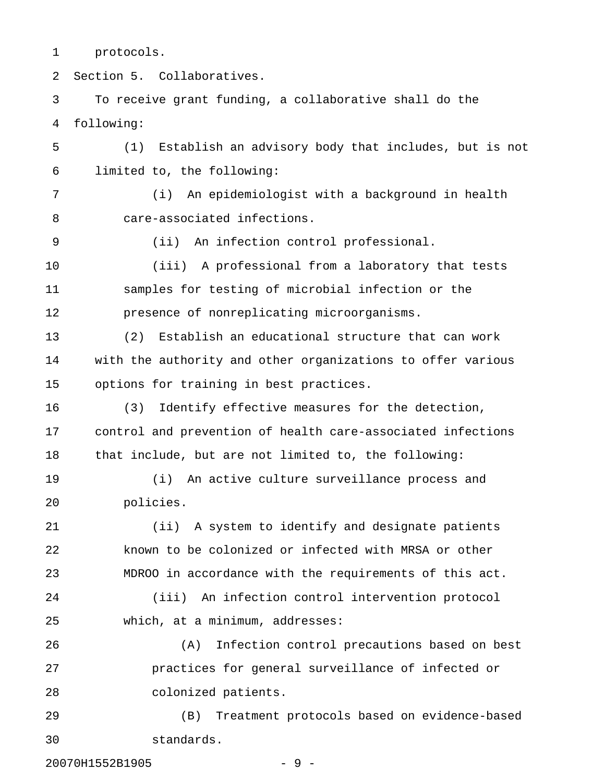1 protocols.

2 Section 5. Collaboratives.

3 To receive grant funding, a collaborative shall do the 4 following: 5 (1) Establish an advisory body that includes, but is not

6 limited to, the following:

7 (i) An epidemiologist with a background in health 8 care-associated infections.

9 (ii) An infection control professional.

10 (iii) A professional from a laboratory that tests 11 samples for testing of microbial infection or the 12 presence of nonreplicating microorganisms.

13 (2) Establish an educational structure that can work 14 with the authority and other organizations to offer various 15 options for training in best practices.

16 (3) Identify effective measures for the detection, 17 control and prevention of health care-associated infections 18 that include, but are not limited to, the following:

19 (i) An active culture surveillance process and 20 policies.

21 (ii) A system to identify and designate patients 22 known to be colonized or infected with MRSA or other 23 MDROO in accordance with the requirements of this act.

24 (iii) An infection control intervention protocol 25 which, at a minimum, addresses:

26 (A) Infection control precautions based on best 27 practices for general surveillance of infected or 28 colonized patients.

29 (B) Treatment protocols based on evidence-based 30 standards.

20070H1552B1905 - 9 -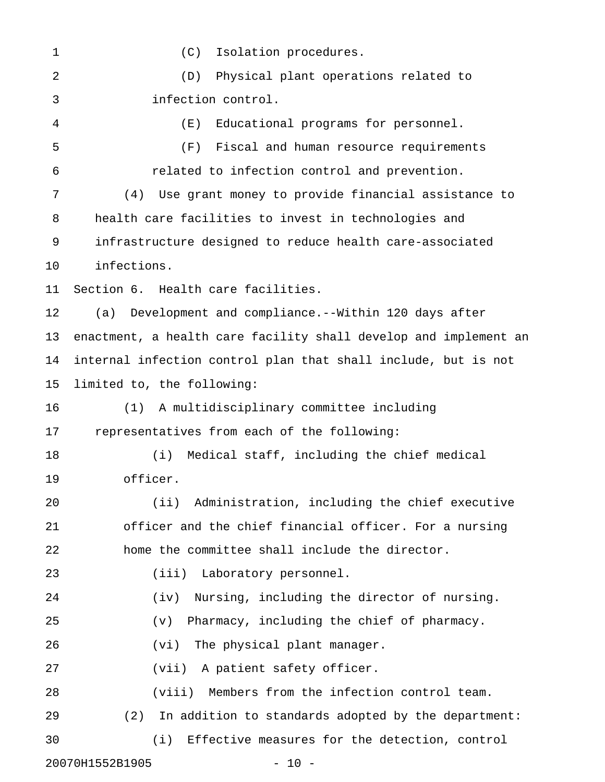1 (C) Isolation procedures. 2 (D) Physical plant operations related to 3 infection control. 4 (E) Educational programs for personnel. 5 (F) Fiscal and human resource requirements 6 related to infection control and prevention. 7 (4) Use grant money to provide financial assistance to 8 health care facilities to invest in technologies and 9 infrastructure designed to reduce health care-associated 10 infections. 11 Section 6. Health care facilities. 12 (a) Development and compliance.--Within 120 days after 13 enactment, a health care facility shall develop and implement an 14 internal infection control plan that shall include, but is not 15 limited to, the following: 16 (1) A multidisciplinary committee including 17 representatives from each of the following: 18 (i) Medical staff, including the chief medical 19 officer. 20 (ii) Administration, including the chief executive 21 officer and the chief financial officer. For a nursing 22 home the committee shall include the director. 23 (iii) Laboratory personnel. 24 (iv) Nursing, including the director of nursing. 25 (v) Pharmacy, including the chief of pharmacy. 26 (vi) The physical plant manager. 27 (vii) A patient safety officer. 28 (viii) Members from the infection control team. 29 (2) In addition to standards adopted by the department: 30 (i) Effective measures for the detection, control 20070H1552B1905 - 10 -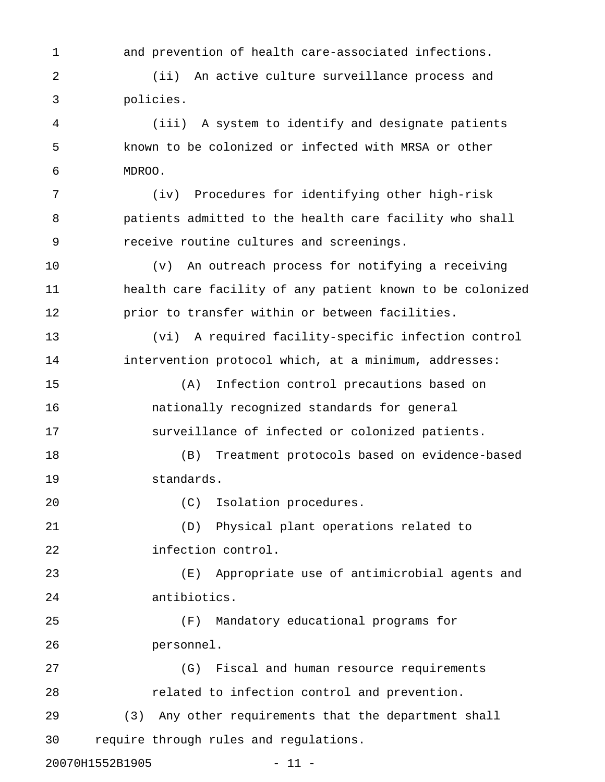1 and prevention of health care-associated infections.

2 (ii) An active culture surveillance process and 3 policies.

4 (iii) A system to identify and designate patients 5 known to be colonized or infected with MRSA or other 6 MDROO.

7 (iv) Procedures for identifying other high-risk 8 patients admitted to the health care facility who shall 9 receive routine cultures and screenings.

10 (v) An outreach process for notifying a receiving 11 health care facility of any patient known to be colonized 12 prior to transfer within or between facilities.

13 (vi) A required facility-specific infection control 14 intervention protocol which, at a minimum, addresses:

15 (A) Infection control precautions based on 16 nationally recognized standards for general 17 surveillance of infected or colonized patients.

18 (B) Treatment protocols based on evidence-based 19 standards.

20 (C) Isolation procedures.

30 require through rules and regulations.

21 (D) Physical plant operations related to 22 infection control.

23 (E) Appropriate use of antimicrobial agents and 24 antibiotics.

25 (F) Mandatory educational programs for 26 personnel.

27 (G) Fiscal and human resource requirements 28 related to infection control and prevention. 29 (3) Any other requirements that the department shall

20070H1552B1905 - 11 -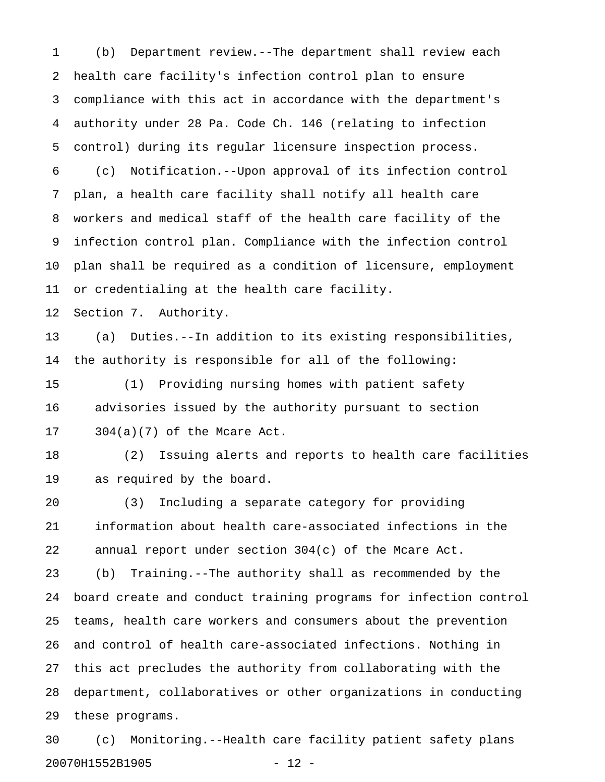1 (b) Department review.--The department shall review each 2 health care facility's infection control plan to ensure 3 compliance with this act in accordance with the department's 4 authority under 28 Pa. Code Ch. 146 (relating to infection 5 control) during its regular licensure inspection process. 6 (c) Notification.--Upon approval of its infection control 7 plan, a health care facility shall notify all health care 8 workers and medical staff of the health care facility of the 9 infection control plan. Compliance with the infection control 10 plan shall be required as a condition of licensure, employment 11 or credentialing at the health care facility. 12 Section 7. Authority. 13 (a) Duties.--In addition to its existing responsibilities, 14 the authority is responsible for all of the following: 15 (1) Providing nursing homes with patient safety 16 advisories issued by the authority pursuant to section 17 304(a)(7) of the Mcare Act. 18 (2) Issuing alerts and reports to health care facilities

19 as required by the board.

20 (3) Including a separate category for providing 21 information about health care-associated infections in the 22 annual report under section 304(c) of the Mcare Act.

23 (b) Training.--The authority shall as recommended by the 24 board create and conduct training programs for infection control 25 teams, health care workers and consumers about the prevention 26 and control of health care-associated infections. Nothing in 27 this act precludes the authority from collaborating with the 28 department, collaboratives or other organizations in conducting 29 these programs.

30 (c) Monitoring.--Health care facility patient safety plans 20070H1552B1905 - 12 -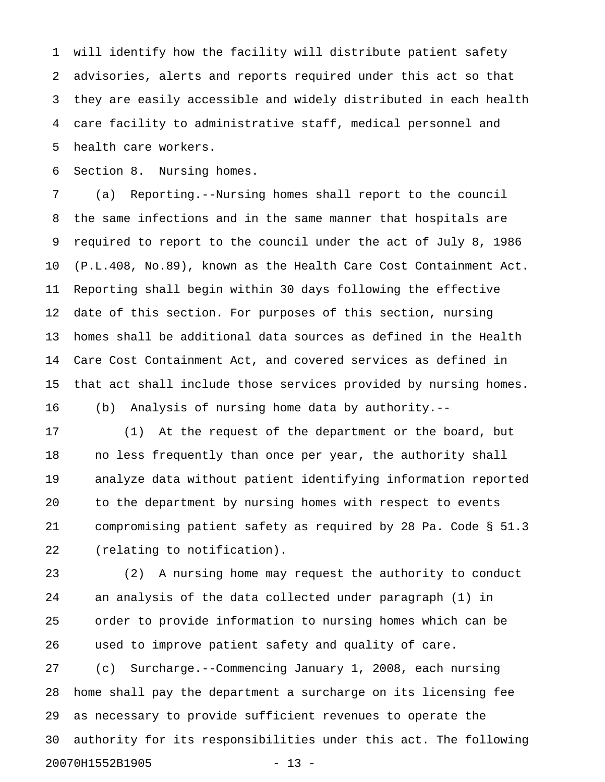1 will identify how the facility will distribute patient safety 2 advisories, alerts and reports required under this act so that 3 they are easily accessible and widely distributed in each health 4 care facility to administrative staff, medical personnel and 5 health care workers.

6 Section 8. Nursing homes.

7 (a) Reporting.--Nursing homes shall report to the council 8 the same infections and in the same manner that hospitals are 9 required to report to the council under the act of July 8, 1986 10 (P.L.408, No.89), known as the Health Care Cost Containment Act. 11 Reporting shall begin within 30 days following the effective 12 date of this section. For purposes of this section, nursing 13 homes shall be additional data sources as defined in the Health 14 Care Cost Containment Act, and covered services as defined in 15 that act shall include those services provided by nursing homes. 16 (b) Analysis of nursing home data by authority.--

17 (1) At the request of the department or the board, but 18 no less frequently than once per year, the authority shall 19 analyze data without patient identifying information reported 20 to the department by nursing homes with respect to events 21 compromising patient safety as required by 28 Pa. Code § 51.3 22 (relating to notification).

23 (2) A nursing home may request the authority to conduct 24 an analysis of the data collected under paragraph (1) in 25 order to provide information to nursing homes which can be 26 used to improve patient safety and quality of care. 27 (c) Surcharge.--Commencing January 1, 2008, each nursing

28 home shall pay the department a surcharge on its licensing fee 29 as necessary to provide sufficient revenues to operate the 30 authority for its responsibilities under this act. The following 20070H1552B1905 - 13 -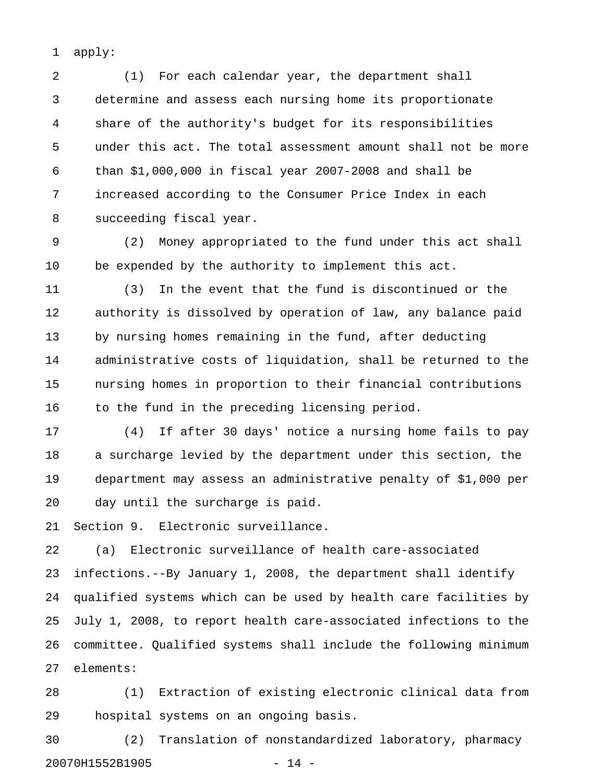1 apply:

2 (1) For each calendar year, the department shall 3 determine and assess each nursing home its proportionate 4 share of the authority's budget for its responsibilities 5 under this act. The total assessment amount shall not be more 6 than \$1,000,000 in fiscal year 2007-2008 and shall be 7 increased according to the Consumer Price Index in each 8 succeeding fiscal year.

9 (2) Money appropriated to the fund under this act shall 10 be expended by the authority to implement this act.

11 (3) In the event that the fund is discontinued or the 12 authority is dissolved by operation of law, any balance paid 13 by nursing homes remaining in the fund, after deducting 14 administrative costs of liquidation, shall be returned to the 15 nursing homes in proportion to their financial contributions 16 to the fund in the preceding licensing period.

17 (4) If after 30 days' notice a nursing home fails to pay 18 a surcharge levied by the department under this section, the 19 department may assess an administrative penalty of \$1,000 per 20 day until the surcharge is paid.

21 Section 9. Electronic surveillance.

22 (a) Electronic surveillance of health care-associated 23 infections.--By January 1, 2008, the department shall identify 24 qualified systems which can be used by health care facilities by 25 July 1, 2008, to report health care-associated infections to the 26 committee. Qualified systems shall include the following minimum 27 elements:

28 (1) Extraction of existing electronic clinical data from 29 hospital systems on an ongoing basis.

30 (2) Translation of nonstandardized laboratory, pharmacy 20070H1552B1905 - 14 -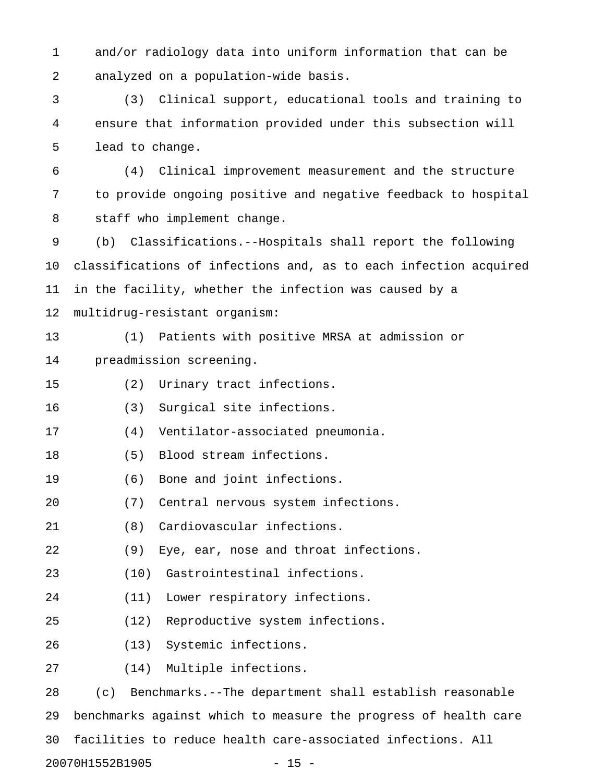1 and/or radiology data into uniform information that can be 2 analyzed on a population-wide basis.

3 (3) Clinical support, educational tools and training to 4 ensure that information provided under this subsection will 5 lead to change.

6 (4) Clinical improvement measurement and the structure 7 to provide ongoing positive and negative feedback to hospital 8 staff who implement change.

9 (b) Classifications.--Hospitals shall report the following 10 classifications of infections and, as to each infection acquired 11 in the facility, whether the infection was caused by a 12 multidrug-resistant organism:

13 (1) Patients with positive MRSA at admission or 14 preadmission screening.

15 (2) Urinary tract infections.

16 (3) Surgical site infections.

17 (4) Ventilator-associated pneumonia.

- 18 (5) Blood stream infections.
- 19 (6) Bone and joint infections.
- 20 (7) Central nervous system infections.
- 21 (8) Cardiovascular infections.
- 22 (9) Eye, ear, nose and throat infections.
- 23 (10) Gastrointestinal infections.
- 24 (11) Lower respiratory infections.
- 25 (12) Reproductive system infections.
- 26 (13) Systemic infections.
- 27 (14) Multiple infections.

28 (c) Benchmarks.--The department shall establish reasonable 29 benchmarks against which to measure the progress of health care 30 facilities to reduce health care-associated infections. All 20070H1552B1905 - 15 -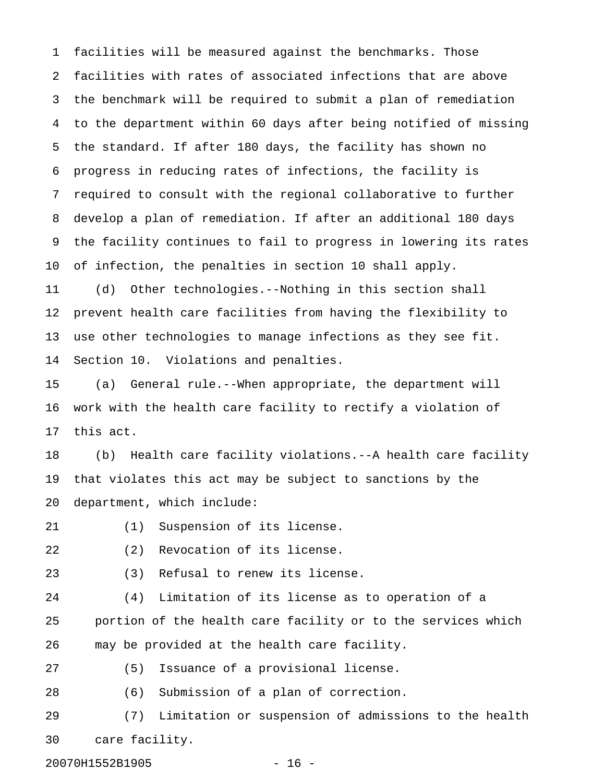1 facilities will be measured against the benchmarks. Those 2 facilities with rates of associated infections that are above 3 the benchmark will be required to submit a plan of remediation 4 to the department within 60 days after being notified of missing 5 the standard. If after 180 days, the facility has shown no 6 progress in reducing rates of infections, the facility is 7 required to consult with the regional collaborative to further 8 develop a plan of remediation. If after an additional 180 days 9 the facility continues to fail to progress in lowering its rates 10 of infection, the penalties in section 10 shall apply.

11 (d) Other technologies.--Nothing in this section shall 12 prevent health care facilities from having the flexibility to 13 use other technologies to manage infections as they see fit. 14 Section 10. Violations and penalties.

15 (a) General rule.--When appropriate, the department will 16 work with the health care facility to rectify a violation of 17 this act.

18 (b) Health care facility violations.--A health care facility 19 that violates this act may be subject to sanctions by the 20 department, which include:

- 21 (1) Suspension of its license.
- 22 (2) Revocation of its license.
- 23 (3) Refusal to renew its license.

24 (4) Limitation of its license as to operation of a 25 portion of the health care facility or to the services which 26 may be provided at the health care facility.

27 (5) Issuance of a provisional license.

28 (6) Submission of a plan of correction.

29 (7) Limitation or suspension of admissions to the health 30 care facility.

20070H1552B1905 - 16 -